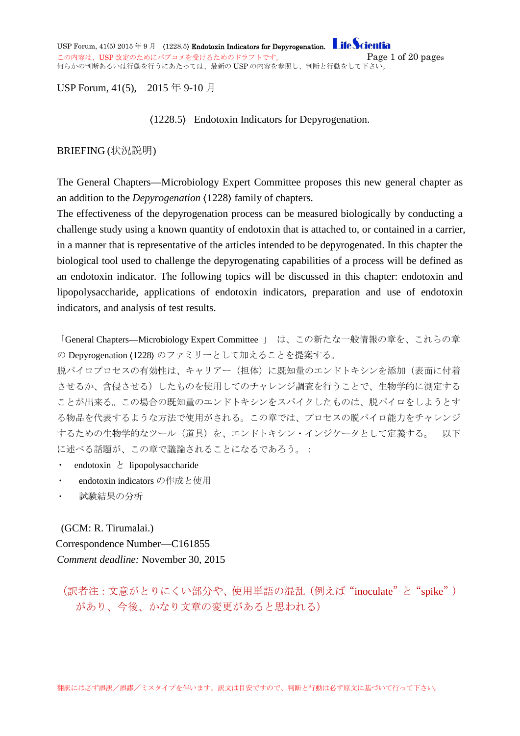USP Forum,  $41(5)$  2015 年 9 月 (1228.5) Endotoxin Indicators for Depyrogenation. Life Scientia この内容は、USP 改定のためにパブコメを受けるためのドラフトです。 <br>
<br />  $Page 1 of 20 pages$ 何らかの判断あるいは行動を行うにあたっては、最新の USP の内容を参照し、判断と行動をして下さい。

#### USP Forum, 41(5), 2015 年 9-10 月

〈1228.5〉 Endotoxin Indicators for Depyrogenation.

#### BRIEFING (状況説明)

The General Chapters—Microbiology Expert Committee proposes this new general chapter as an addition to the *Depyrogenation* 〈1228〉 family of chapters.

The effectiveness of the depyrogenation process can be measured biologically by conducting a challenge study using a known quantity of endotoxin that is attached to, or contained in a carrier, in a manner that is representative of the articles intended to be depyrogenated. In this chapter the biological tool used to challenge the depyrogenating capabilities of a process will be defined as an endotoxin indicator. The following topics will be discussed in this chapter: endotoxin and lipopolysaccharide, applications of endotoxin indicators, preparation and use of endotoxin indicators, and analysis of test results.

「General Chapters—Microbiology Expert Committee 」 は、この新たな一般情報の章を、これらの章 の Depyrogenation (1228) のファミリーとして加えることを提案する。

脱パイロプロセスの有効性は、キャリアー(担体)に既知量のエンドトキシンを添加(表面に付着 させるか、含侵させる)したものを使用してのチャレンジ調査を行うことで、生物学的に測定する ことが出来る。この場合の既知量のエンドトキシンをスパイクしたものは、脱パイロをしようとす る物品を代表するような方法で使用がされる。この章では、プロセスの脱パイロ能力をチャレンジ するための生物学的なツール (道具) を、エンドトキシン・インジケータとして定義する。 以下 に述べる話題が、この章で議論されることになるであろう。:

- endotoxin  $\angle$  lipopolysaccharide
- endotoxin indicators の作成と使用
- 試験結果の分析

(GCM: R. Tirumalai.) Correspondence Number—C161855 *Comment deadline:* November 30, 2015

(訳者注:文意がとりにくい部分や、使用単語の混乱(例えば"inoculate"と"spike") があり、今後、かなり文章の変更があると思われる)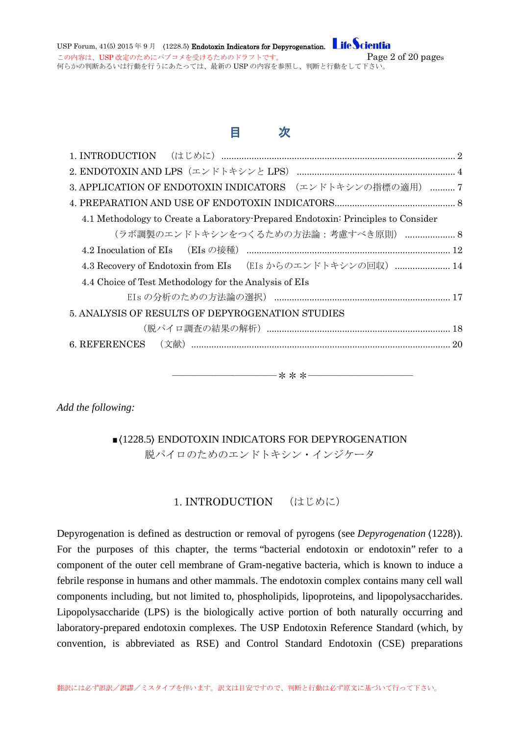USP Forum,  $41(5)$  2015 年 9 月 (1228.5) Endotoxin Indicators for Depyrogenation. **Life Scientia** この内容は、USP 改定のためにパブコメを受けるためのドラフトです。 Page 2 of 20 pages 何らかの判断あるいは行動を行うにあたっては、最新の USP の内容を参照し、判断と行動をして下さい。

## 目 次

| 3. APPLICATION OF ENDOTOXIN INDICATORS (エンドトキシンの指標の適用)  7                         |
|-----------------------------------------------------------------------------------|
|                                                                                   |
| 4.1 Methodology to Create a Laboratory Prepared Endotoxin: Principles to Consider |
| (ラボ調製のエンドトキシンをつくるための方法論:考慮すべき原則) 8                                                |
|                                                                                   |
| 4.3 Recovery of Endotoxin from EIs (EIs からのエンドトキシンの回収)  14                        |
| 4.4 Choice of Test Methodology for the Analysis of EIs                            |
|                                                                                   |
| 5. ANALYSIS OF RESULTS OF DEPYROGENATION STUDIES                                  |
|                                                                                   |
|                                                                                   |
|                                                                                   |
|                                                                                   |

*Add the following:*

# 〈1228.5〉 ENDOTOXIN INDICATORS FOR DEPYROGENATION

――――――――――\*\*\*――――――――――

脱パイロのためのエンドトキシン・インジケータ

#### 1. INTRODUCTION (はじめに)

<span id="page-1-0"></span>Depyrogenation is defined as destruction or removal of pyrogens (see *Depyrogenation* 〈1228〉). For the purposes of this chapter, the terms "bacterial endotoxin or endotoxin" refer to a component of the outer cell membrane of Gram-negative bacteria, which is known to induce a febrile response in humans and other mammals. The endotoxin complex contains many cell wall components including, but not limited to, phospholipids, lipoproteins, and lipopolysaccharides. Lipopolysaccharide (LPS) is the biologically active portion of both naturally occurring and laboratory-prepared endotoxin complexes. The USP Endotoxin Reference Standard (which, by convention, is abbreviated as RSE) and Control Standard Endotoxin (CSE) preparations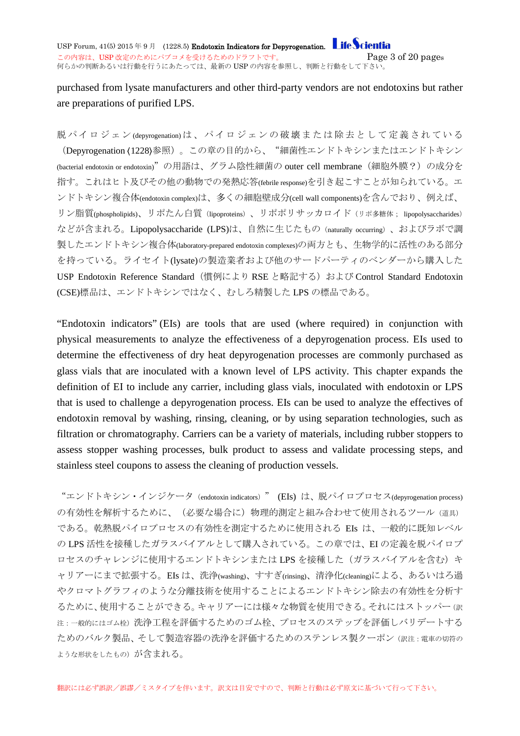USP Forum,  $41(5)$  2015 年 9 月 (1228.5) Endotoxin Indicators for Depyrogenation. **Life Scientia** この内容は、USP 改定のためにパブコメを受けるためのドラフトです。 <br>
<br />
<br />  $Page 3 of 20 pages$ 何らかの判断あるいは行動を行うにあたっては、最新の USP の内容を参照し、判断と行動をして下さい。

### purchased from lysate manufacturers and other third-party vendors are not endotoxins but rather are preparations of purified LPS.

脱パイロジェン (depyrogenation) は、パイロジェンの破壊または除去として定義されている (Depyrogenation (1228)参照)。この章の目的から、"細菌性エンドトキシンまたはエンドトキシン (bacterial endotoxin or endotoxin)"の用語は、グラム陰性細菌の outer cell membrane(細胞外膜?)の成分を 指す。これはヒト及びその他の動物での発熱応答(febrile response)を引き起こすことが知られている。エ ンドトキシン複合体(endotoxin complex)は、多くの細胞壁成分(cell wall components)を含んでおり、例えば、 リン脂質(phospholipids)、リポたん白質(lipoproteins)、リポポリサッカロイド(リポ多糖体; lipopolysaccharides) などが含まれる。Lipopolysaccharide (LPS)は、自然に生じたもの(naturally occurring)、およびラボで調 製したエンドトキシン複合体(laboratory-prepared endotoxin complexes)の両方とも、生物学的に活性のある部分 を持っている。ライセイト(lysate)の製造業者および他のサードパーティのベンダーから購入した USP Endotoxin Reference Standard (慣例により RSE と略記する) および Control Standard Endotoxin (CSE)標品は、エンドトキシンではなく、むしろ精製した LPS の標品である。

"Endotoxin indicators" (EIs) are tools that are used (where required) in conjunction with physical measurements to analyze the effectiveness of a depyrogenation process. EIs used to determine the effectiveness of dry heat depyrogenation processes are commonly purchased as glass vials that are inoculated with a known level of LPS activity. This chapter expands the definition of EI to include any carrier, including glass vials, inoculated with endotoxin or LPS that is used to challenge a depyrogenation process. EIs can be used to analyze the effectives of endotoxin removal by washing, rinsing, cleaning, or by using separation technologies, such as filtration or chromatography. Carriers can be a variety of materials, including rubber stoppers to assess stopper washing processes, bulk product to assess and validate processing steps, and stainless steel coupons to assess the cleaning of production vessels.

"エンドトキシン・インジケータ (endotoxin indicators) " (EIs) は、脱パイロプロセス(depyrogenation process) の有効性を解析するために、(必要な場合に)物理的測定と組み合わせて使用されるツール(道具) である。乾熱脱パイロプロセスの有効性を測定するために使用される EIs は、一般的に既知レベル の LPS 活性を接種したガラスバイアルとして購入されている。この章では、EI の定義を脱パイロプ ロセスのチャレンジに使用するエンドトキシンまたは LPS を接種した(ガラスバイアルを含む)キ ャリアーにまで拡張する。EIs は、洗浄(washing)、すすぎ(rinsing)、清浄化(cleaning)による、あるいはろ過 やクロマトグラフィのような分離技術を使用することによるエンドトキシン除去の有効性を分析す るために、使用することができる。キャリアーには様々な物質を使用できる。それにはストッパー(訳 注:一般的にはゴム栓)洗浄工程を評価するためのゴム栓、プロセスのステップを評価しバリデートする ためのバルク製品、そして製造容器の洗浄を評価するためのステンレス製クーポン(訳注:電車の切符の ような形状をしたもの)が含まれる。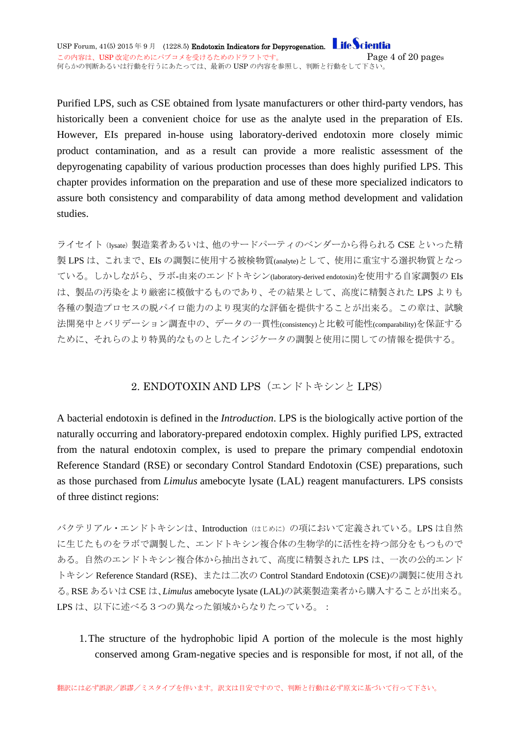Purified LPS, such as CSE obtained from lysate manufacturers or other third-party vendors, has historically been a convenient choice for use as the analyte used in the preparation of EIs. However, EIs prepared in-house using laboratory-derived endotoxin more closely mimic product contamination, and as a result can provide a more realistic assessment of the depyrogenating capability of various production processes than does highly purified LPS. This chapter provides information on the preparation and use of these more specialized indicators to assure both consistency and comparability of data among method development and validation studies.

ライセイト(lysate)製造業者あるいは、他のサードパーティのベンダーから得られる CSE といった精 製 LPS は、これまで、EIs の調製に使用する被検物質(analyte)として、使用に重宝する選択物質となっ ている。しかしながら、ラボ-由来のエンドトキシン(laboratory-derived endotoxin)を使用する自家調製の EIs は、製品の汚染をより厳密に模倣するものであり、その結果として、高度に精製された LPS よりも 各種の製造プロセスの脱パイロ能力のより現実的な評価を提供することが出来る。この章は、試験 法開発中とバリデーション調査中の、データの一貫性(consistency)と比較可能性(comparability)を保証する ために、それらのより特異的なものとしたインジケータの調製と使用に関しての情報を提供する。

#### 2. ENDOTOXIN AND LPS(エンドトキシンと LPS)

<span id="page-3-0"></span>A bacterial endotoxin is defined in the *Introduction*. LPS is the biologically active portion of the naturally occurring and laboratory-prepared endotoxin complex. Highly purified LPS, extracted from the natural endotoxin complex, is used to prepare the primary compendial endotoxin Reference Standard (RSE) or secondary Control Standard Endotoxin (CSE) preparations, such as those purchased from *Limulus* amebocyte lysate (LAL) reagent manufacturers. LPS consists of three distinct regions:

バクテリアル・エンドトキシンは、Introduction (はじめに)の項において定義されている。LPS は自然 に生じたものをラボで調製した、エンドトキシン複合体の生物学的に活性を持つ部分をもつもので ある。自然のエンドトキシン複合体から抽出されて、高度に精製された LPS は、一次の公的エンド トキシン Reference Standard (RSE)、または二次の Control Standard Endotoxin (CSE)の調製に使用され る。RSE あるいは CSE は、*Limulus* amebocyte lysate (LAL)の試薬製造業者から購入することが出来る。 LPS は、以下に述べる3つの異なった領域からなりたっている。:

1.The structure of the hydrophobic lipid A portion of the molecule is the most highly conserved among Gram-negative species and is responsible for most, if not all, of the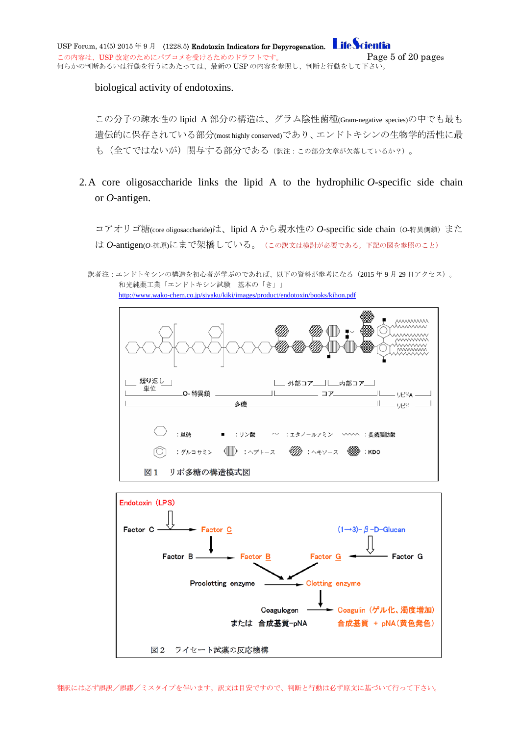biological activity of endotoxins.

この分子の疎水性の lipid A 部分の構造は、グラム陰性菌種(Gram-negative species)の中でも最も 遺伝的に保存されている部分(most highly conserved)であり、エンドトキシンの生物学的活性に最 も(全てではないが)関与する部分である(訳注:この部分文章が欠落しているか?)。

- 2.A core oligosaccharide links the lipid A to the hydrophilic *O*-specific side chain or *O*-antigen.
	- コアオリゴ糖(core oligosaccharide)は、lipid A から親水性の O-specific side chain (o-特異側鎖) また は *O*-antigen(*O*-抗原)にまで架橋している。(この訳文は検討が必要である。下記の図を参照のこと)
	- 訳者注:エンドトキシンの構造を初心者が学ぶのであれば、以下の資料が参考になる(2015 年 9 月 29 日アクセス)。 和光純薬工業「エンドトキシン試験 基本の「き」」 <http://www.wako-chem.co.jp/siyaku/kiki/images/product/endotoxin/books/kihon.pdf>



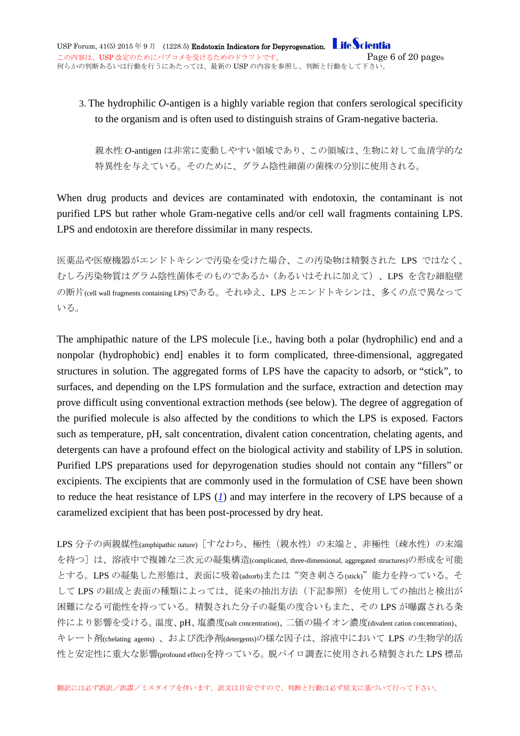### 3. The hydrophilic *O*-antigen is a highly variable region that confers serological specificity to the organism and is often used to distinguish strains of Gram-negative bacteria.

親水性 *O*-antigen は非常に変動しやすい領域であり、この領域は、生物に対して血清学的な 特異性を与えている。そのために、グラム陰性細菌の菌株の分別に使用される。

When drug products and devices are contaminated with endotoxin, the contaminant is not purified LPS but rather whole Gram-negative cells and/or cell wall fragments containing LPS. LPS and endotoxin are therefore dissimilar in many respects.

医薬品や医療機器がエンドトキシンで汚染を受けた場合、この汚染物は精製された LPS ではなく、 むしろ汚染物質はグラム陰性菌体そのものであるか(あるいはそれに加えて)、LPS を含む細胞壁 の断片(cell wall fragments containing LPS)である。それゆえ、LPS とエンドトキシンは、多くの点で異なって いる。

The amphipathic nature of the LPS molecule [i.e., having both a polar (hydrophilic) end and a nonpolar (hydrophobic) end] enables it to form complicated, three-dimensional, aggregated structures in solution. The aggregated forms of LPS have the capacity to adsorb, or "stick", to surfaces, and depending on the LPS formulation and the surface, extraction and detection may prove difficult using conventional extraction methods (see below). The degree of aggregation of the purified molecule is also affected by the conditions to which the LPS is exposed. Factors such as temperature, pH, salt concentration, divalent cation concentration, chelating agents, and detergents can have a profound effect on the biological activity and stability of LPS in solution. Purified LPS preparations used for depyrogenation studies should not contain any "fillers" or excipients. The excipients that are commonly used in the formulation of CSE have been shown to reduce the heat resistance of LPS (*[1](http://www.usppf.com/pf/pub/data/v415/CHA_IPR_415_c1228_5.html%23CHA_IPR_415_c1228_5s10)*) and may interfere in the recovery of LPS because of a caramelized excipient that has been post-processed by dry heat.

LPS 分子の両親媒性(amphipathic nature) [すなわち、極性(親水性)の末端と、非極性(疎水性)の末端 を持つ]は、溶液中で複雑な三次元の凝集構造(complicated, three-dimensional, aggregated structures)の形成を可能 とする。LPS の凝集した形態は、表面に吸着(adsorb)または"突き刺さる(stick)"能力を持っている。そ して LPS の組成と表面の種類によっては、従来の抽出方法(下記参照)を使用しての抽出と検出が 困難になる可能性を持っている。精製された分子の凝集の度合いもまた、その LPS が曝露される条 件により影響を受ける。温度、pH、塩濃度(salt concentration)、二価の陽イオン濃度(divalent cation concentration)、 キレート剤(chelating agents)、および洗浄剤(detergents)の様な因子は、溶液中において LPS の生物学的活 性と安定性に重大な影響(profound effect)を持っている。脱パイロ調査に使用される精製された LPS 標品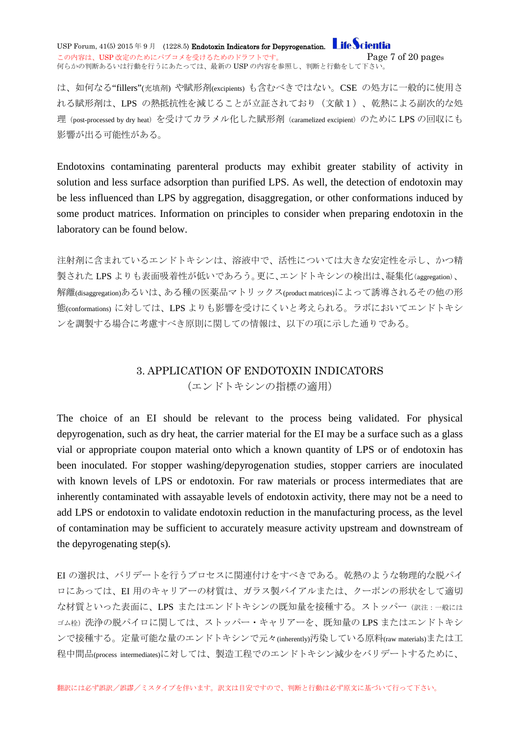USP Forum,  $41(5)$  2015 年 9 月 (1228.5) Endotoxin Indicators for Depyrogenation. Life Scientia この内容は、USP 改定のためにパブコメを受けるためのドラフトです。 <br>
<br />  $Page 7 of 20 pages$ 何らかの判断あるいは行動を行うにあたっては、最新の USP の内容を参照し、判断と行動をして下さい。

は、如何なる"fillers"(充填剤) や賦形剤(excipients) も含むべきではない。CSE の処方に一般的に使用さ れる賦形剤は、LPS の熱抵抗性を減じることが立証されており(文献1)、乾熱による副次的な処 理(post-processed by dry heat)を受けてカラメル化した賦形剤(caramelized excipient)のために LPS の回収にも 影響が出る可能性がある。

Endotoxins contaminating parenteral products may exhibit greater stability of activity in solution and less surface adsorption than purified LPS. As well, the detection of endotoxin may be less influenced than LPS by aggregation, disaggregation, or other conformations induced by some product matrices. Information on principles to consider when preparing endotoxin in the laboratory can be found below.

注射剤に含まれているエンドトキシンは、溶液中で、活性については大きな安定性を示し、かつ精 製された LPS よりも表面吸着性が低いであろう。更に、エンドトキシンの検出は、凝集化(aggregation)、 解離(disaggregation)あるいは、ある種の医薬品マトリックス(product matrices)によって誘導されるその他の形 態(conformations) に対しては、LPS よりも影響を受けにくいと考えられる。ラボにおいてエンドトキシ ンを調製する場合に考慮すべき原則に関しての情報は、以下の項に示した通りである。

#### 3. APPLICATION OF ENDOTOXIN INDICATORS (エンドトキシンの指標の適用)

<span id="page-6-0"></span>The choice of an EI should be relevant to the process being validated. For physical depyrogenation, such as dry heat, the carrier material for the EI may be a surface such as a glass vial or appropriate coupon material onto which a known quantity of LPS or of endotoxin has been inoculated. For stopper washing/depyrogenation studies, stopper carriers are inoculated with known levels of LPS or endotoxin. For raw materials or process intermediates that are inherently contaminated with assayable levels of endotoxin activity, there may not be a need to add LPS or endotoxin to validate endotoxin reduction in the manufacturing process, as the level of contamination may be sufficient to accurately measure activity upstream and downstream of the depyrogenating step(s).

EI の選択は、バリデートを行うプロセスに関連付けをすべきである。乾熱のような物理的な脱パイ ロにあっては、EI 用のキャリアーの材質は、ガラス製バイアルまたは、クーポンの形状をして適切 な材質といった表面に、LPS またはエンドトキシンの既知量を接種する。ストッパー(訳注:一般には ゴム栓)洗浄の脱パイロに関しては、ストッパー・キャリアーを、既知量の LPS またはエンドトキシ ンで接種する。定量可能な量のエンドトキシンで元々(inherently)汚染している原料(raw materials)または工 程中間品(process intermediates)に対しては、製造工程でのエンドトキシン減少をバリデートするために、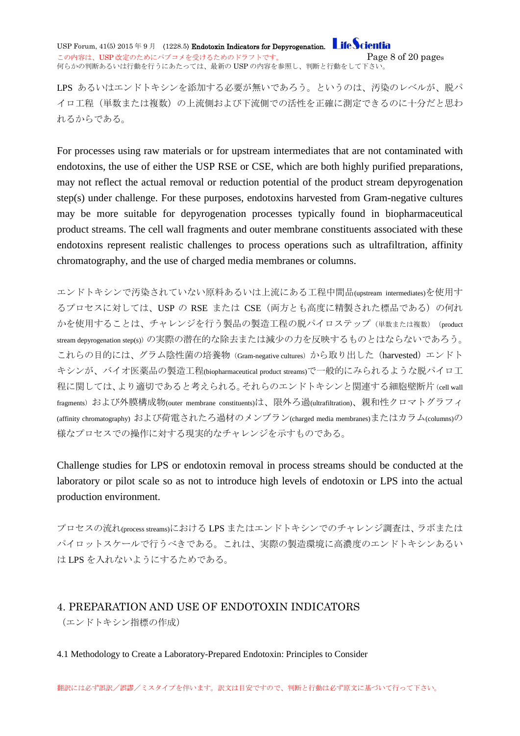USP Forum,  $41(5)$  2015 年 9 月 (1228.5) Endotoxin Indicators for Depyrogenation. **Life Scientia** この内容は、USP 改定のためにパブコメを受けるためのドラフトです。 <br>
<br />  $Page 8 of 20 pages$ 何らかの判断あるいは行動を行うにあたっては、最新の USP の内容を参照し、判断と行動をして下さい。

LPS あるいはエンドトキシンを添加する必要が無いであろう。というのは、汚染のレベルが、脱パ イロ工程(単数または複数)の上流側および下流側での活性を正確に測定できるのに十分だと思わ れるからである。

For processes using raw materials or for upstream intermediates that are not contaminated with endotoxins, the use of either the USP RSE or CSE, which are both highly purified preparations, may not reflect the actual removal or reduction potential of the product stream depyrogenation step(s) under challenge. For these purposes, endotoxins harvested from Gram-negative cultures may be more suitable for depyrogenation processes typically found in biopharmaceutical product streams. The cell wall fragments and outer membrane constituents associated with these endotoxins represent realistic challenges to process operations such as ultrafiltration, affinity chromatography, and the use of charged media membranes or columns.

エンドトキシンで汚染されていない原料あるいは上流にある工程中間品(upstream intermediates)を使用す るプロセスに対しては、USP の RSE または CSE(両方とも高度に精製された標品である)の何れ かを使用することは、チャレンジを行う製品の製造工程の脱パイロステップ(単数または複数)(product stream depyrogenation step(s))の実際の潜在的な除去または減少の力を反映するものとはならないであろう。 これらの目的には、グラム陰性菌の培養物(Gram-negative cultures)から取り出した(harvested)エンドト キシンが、バイオ医薬品の製造工程(biopharmaceutical product streams)で一般的にみられるような脱パイロ工 程に関しては、より適切であると考えられる。それらのエンドトキシンと関連する細胞壁断片 (cell wall fragments) および外膜構成物(outer membrane constituents)は、限外ろ過(ultrafiltration)、親和性クロマトグラフィ (affinity chromatography) および荷電されたろ過材のメンブラン(charged media membranes)またはカラム(columns)の 様なプロセスでの操作に対する現実的なチャレンジを示すものである。

Challenge studies for LPS or endotoxin removal in process streams should be conducted at the laboratory or pilot scale so as not to introduce high levels of endotoxin or LPS into the actual production environment.

プロセスの流れ(process streams)における LPS またはエンドトキシンでのチャレンジ調査は、ラボまたは パイロットスケールで行うべきである。これは、実際の製造環境に高濃度のエンドトキシンあるい は LPS を入れないようにするためである。

#### <span id="page-7-0"></span>4. PREPARATION AND USE OF ENDOTOXIN INDICATORS (エンドトキシン指標の作成)

#### <span id="page-7-1"></span>4.1 Methodology to Create a Laboratory-Prepared Endotoxin: Principles to Consider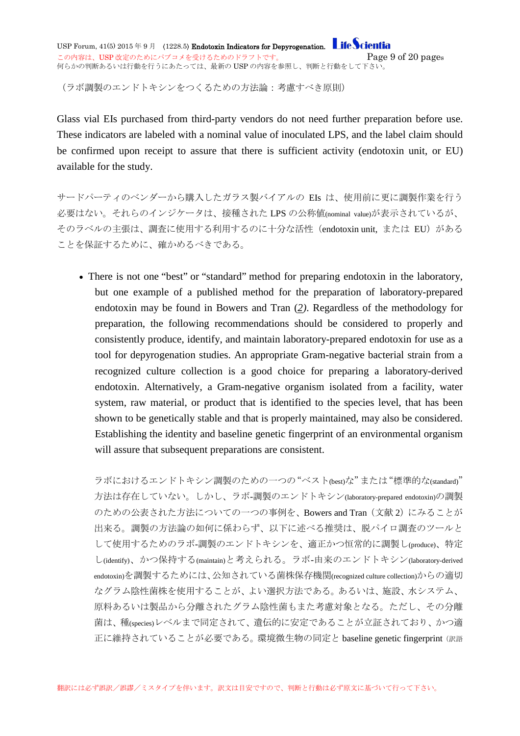USP Forum,  $41(5)$  2015 年 9 月 (1228.5) Endotoxin Indicators for Depyrogenation. **Life Scientia** この内容は、USP 改定のためにパブコメを受けるためのドラフトです。 <br>
<br />
<br />  $Page\ 9\ of\ 20\ pages$ 何らかの判断あるいは行動を行うにあたっては、最新の USP の内容を参照し、判断と行動をして下さい。

(ラボ調製のエンドトキシンをつくるための方法論:考慮すべき原則)

Glass vial EIs purchased from third-party vendors do not need further preparation before use. These indicators are labeled with a nominal value of inoculated LPS, and the label claim should be confirmed upon receipt to assure that there is sufficient activity (endotoxin unit, or EU) available for the study.

サードパーティのベンダーから購入したガラス製バイアルの EIs は、使用前に更に調製作業を行う 必要はない。それらのインジケータは、接種された LPS の公称値(nominal value)が表示されているが、 そのラベルの主張は、調査に使用する利用するのに十分な活性 (endotoxin unit, または EU) がある ことを保証するために、確かめるべきである。

• There is not one "best" or "standard" method for preparing endotoxin in the laboratory, but one example of a published method for the preparation of laboratory-prepared endotoxin may be found in Bowers and Tran (*[2\)](http://www.usppf.com/pf/pub/data/v415/CHA_IPR_415_c1228_5.html%23CHA_IPR_415_c1228_5s10)*. Regardless of the methodology for preparation, the following recommendations should be considered to properly and consistently produce, identify, and maintain laboratory-prepared endotoxin for use as a tool for depyrogenation studies. An appropriate Gram-negative bacterial strain from a recognized culture collection is a good choice for preparing a laboratory-derived endotoxin. Alternatively, a Gram-negative organism isolated from a facility, water system, raw material, or product that is identified to the species level, that has been shown to be genetically stable and that is properly maintained, may also be considered. Establishing the identity and baseline genetic fingerprint of an environmental organism will assure that subsequent preparations are consistent.

ラボにおけるエンドトキシン調製のための一つの"ベスト(best)な"または"標準的な(standard)" 方法は存在していない。しかし、ラボ-調製のエンドトキシン(laboratory-prepared endotoxin)の調製 のための公表された方法についての一つの事例を、Bowers and Tran (文献 2)にみることが 出来る。調製の方法論の如何に係わらず、以下に述べる推奨は、脱パイロ調査のツールと して使用するためのラボ-調製のエンドトキシンを、適正かつ恒常的に調製し(produce)、特定 し(identify)、かつ保持する(maintain)と考えられる。ラボ-由来のエンドトキシン(laboratory-derived endotoxin)を調製するためには、公知されている菌株保存機関(recognized culture collection)からの適切 なグラム陰性菌株を使用することが、よい選択方法である。あるいは、施設、水システム、 原料あるいは製品から分離されたグラム陰性菌もまた考慮対象となる。ただし、その分離 菌は、種(species)レベルまで同定されて、遺伝的に安定であることが立証されており、かつ適 正に維持されていることが必要である。環境微生物の同定と baseline genetic fingerprint(訳語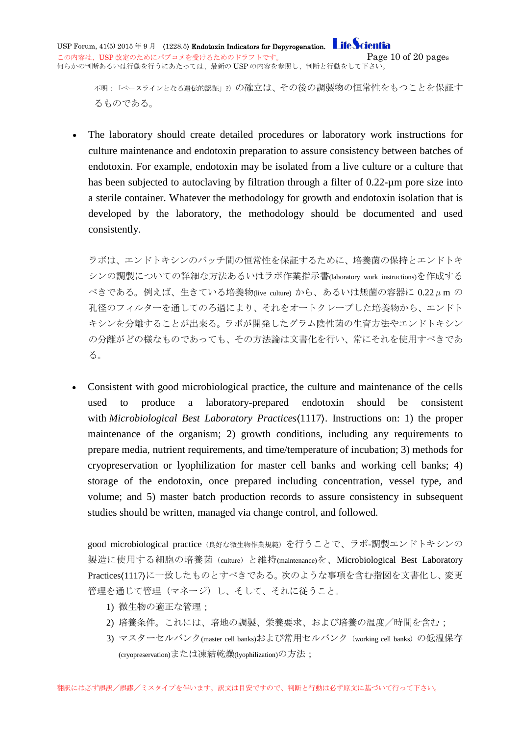不明:「ベースラインとなる遺伝的認証」?)の確立は、その後の調製物の恒常性をもつことを保証す るものである。

• The laboratory should create detailed procedures or laboratory work instructions for culture maintenance and endotoxin preparation to assure consistency between batches of endotoxin. For example, endotoxin may be isolated from a live culture or a culture that has been subjected to autoclaving by filtration through a filter of 0.22-um pore size into a sterile container. Whatever the methodology for growth and endotoxin isolation that is developed by the laboratory, the methodology should be documented and used consistently.

ラボは、エンドトキシンのバッチ間の恒常性を保証するために、培養菌の保持とエンドトキ シンの調製についての詳細な方法あるいはラボ作業指示書(laboratory work instructions)を作成する  $\leq$ きである。例えば、生きている培養物(live culture) から、あるいは無菌の容器に 0.22μm の 孔径のフィルターを通してのろ過により、それをオートクレーブした培養物から、エンドト キシンを分離することが出来る。ラボが開発したグラム陰性菌の生育方法やエンドトキシン の分離がどの様なものであっても、その方法論は文書化を行い、常にそれを使用すべきであ る。

• Consistent with good microbiological practice, the culture and maintenance of the cells used to produce a laboratory-prepared endotoxin should be consistent with *Microbiological Best Laboratory Practices*(1117). Instructions on: 1) the proper maintenance of the organism; 2) growth conditions, including any requirements to prepare media, nutrient requirements, and time/temperature of incubation; 3) methods for cryopreservation or lyophilization for master cell banks and working cell banks; 4) storage of the endotoxin, once prepared including concentration, vessel type, and volume; and 5) master batch production records to assure consistency in subsequent studies should be written, managed via change control, and followed.

good microbiological practice (良好な微生物作業規範)を行うことで、ラボ-調製エンドトキシンの 製造に使用する細胞の培養菌 (culture) と維持(maintenance)を、Microbiological Best Laboratory Practices(1117)に一致したものとすべきである。次のような事項を含む指図を文書化し、変更 管理を通じて管理(マネージ)し、そして、それに従うこと。

- 1) 微生物の適正な管理;
- 2) 培養条件。これには、培地の調製、栄養要求、および培養の温度/時間を含む;
- 3) マスターセルバンク(master cell banks)および常用セルバンク (working cell banks) の低温保存 (cryopreservation)または凍結乾燥(lyophilization)の方法;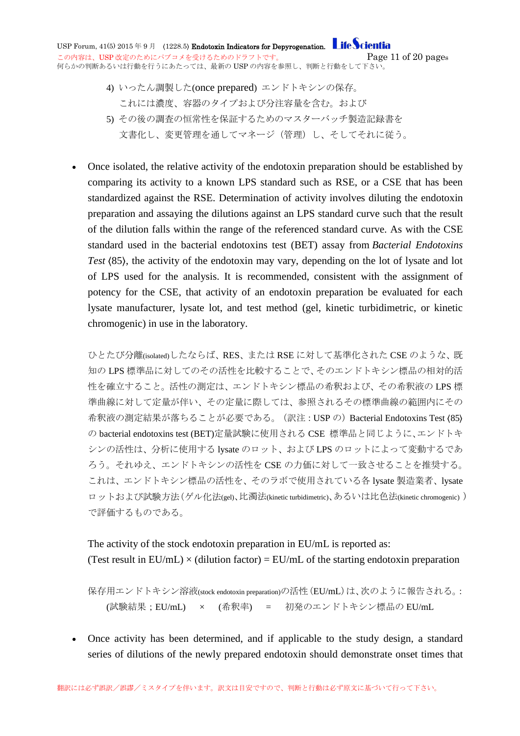USP Forum,  $41(5)$  2015 年 9 月 (1228.5) Endotoxin Indicators for Depyrogenation. Life Scientia この内容は、USP 改定のためにパブコメを受けるためのドラフトです。 <br>
<br />
Page 11 of 20 pages 何らかの判断あるいは行動を行うにあたっては、最新の USP の内容を参照し、判断と行動をして下さい。

- 4) いったん調製した(once prepared) エンドトキシンの保存。 これには濃度、容器のタイプおよび分注容量を含む。および
- 5) その後の調査の恒常性を保証するためのマスターバッチ製造記録書を 文書化し、変更管理を通してマネージ(管理)し、そしてそれに従う。
- Once isolated, the relative activity of the endotoxin preparation should be established by comparing its activity to a known LPS standard such as RSE, or a CSE that has been standardized against the RSE. Determination of activity involves diluting the endotoxin preparation and assaying the dilutions against an LPS standard curve such that the result of the dilution falls within the range of the referenced standard curve. As with the CSE standard used in the bacterial endotoxins test (BET) assay from *Bacterial Endotoxins Test* 〈85〉, the activity of the endotoxin may vary, depending on the lot of lysate and lot of LPS used for the analysis. It is recommended, consistent with the assignment of potency for the CSE, that activity of an endotoxin preparation be evaluated for each lysate manufacturer, lysate lot, and test method (gel, kinetic turbidimetric, or kinetic chromogenic) in use in the laboratory.

ひとたび分離(isolated)したならば、RES、または RSE に対して基準化された CSE のような、既 知の LPS 標準品に対してのその活性を比較することで、そのエンドトキシン標品の相対的活 性を確立すること。活性の測定は、エンドトキシン標品の希釈および、その希釈液の LPS 標 準曲線に対して定量が伴い、その定量に際しては、参照されるその標準曲線の範囲内にその 希釈液の測定結果が落ちることが必要である。(訳注: USP の) Bacterial Endotoxins Test (85) の bacterial endotoxins test (BET)定量試験に使用される CSE 標準品と同じように、エンドトキ シンの活性は、分析に使用する lysate のロット、および LPS のロットによって変動するであ ろう。それゆえ、エンドトキシンの活性を CSE の力価に対して一致させることを推奨する。 これは、エンドトキシン標品の活性を、そのラボで使用されている各 lysate 製造業者、lysate ロットおよび試験方法(ゲル化法(gel)、比濁法(kinetic turbidimetric)、あるいは比色法(kinetic chromogenic)) で評価するものである。

#### The activity of the stock endotoxin preparation in EU/mL is reported as: (Test result in  $EU/mL$ )  $\times$  (dilution factor) =  $EU/mL$  of the starting endotoxin preparation

保存用エンドトキシン溶液(stock endotoxin preparation)の活性(EU/mL)は、次のように報告される。: (試験結果;EU/mL) × (希釈率) = 初発のエンドトキシン標品の EU/mL

• Once activity has been determined, and if applicable to the study design, a standard series of dilutions of the newly prepared endotoxin should demonstrate onset times that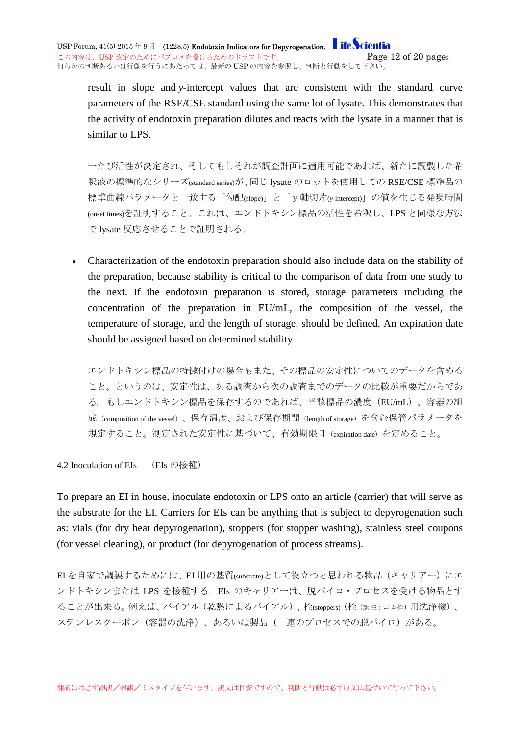USP Forum,  $41(5)$  2015 年 9 月 (1228.5) Endotoxin Indicators for Depyrogenation. Life Scientia この内容は、USP 改定のためにパブコメを受けるためのドラフトです。 <br>
<br />
Page  $12$  of  $20$  pages 何らかの判断あるいは行動を行うにあたっては、最新の USP の内容を参照し、判断と行動をして下さい。

result in slope and *y*-intercept values that are consistent with the standard curve parameters of the RSE/CSE standard using the same lot of lysate. This demonstrates that the activity of endotoxin preparation dilutes and reacts with the lysate in a manner that is similar to LPS.

一たび活性が決定され、そしてもしそれが調査計画に適用可能であれば、新たに調製した希 釈液の標準的なシリーズ(standard series)が、同じ lysate のロットを使用しての RSE/CSE 標準品の 標準曲線パラメータと一致する「勾配(slope)」と「y軸切片(*y*-intercept)」の値を生じる発現時間 (onset times)を証明すること。これは、エンドトキシン標品の活性を希釈し、LPS と同様な方法 で lysate 反応させることで証明される。

• Characterization of the endotoxin preparation should also include data on the stability of the preparation, because stability is critical to the comparison of data from one study to the next. If the endotoxin preparation is stored, storage parameters including the concentration of the preparation in EU/mL, the composition of the vessel, the temperature of storage, and the length of storage, should be defined. An expiration date should be assigned based on determined stability.

エンドトキシン標品の特徴付けの場合もまた、その標品の安定性についてのデータを含める こと。というのは、安定性は、ある調査から次の調査までのデータの比較が重要だからであ る。もしエンドトキシン標品を保存するのであれば、当該標品の濃度(EU/mL)、容器の組 成(composition of the vessel)、保存温度、および保存期間(length of storage)を含む保管パラメータを 規定すること。測定された安定性に基づいて、有効期限日 (expiration date) を定めること。

<span id="page-11-0"></span>4.2 Inoculation of EIs (EIs の接種)

To prepare an EI in house, inoculate endotoxin or LPS onto an article (carrier) that will serve as the substrate for the EI. Carriers for EIs can be anything that is subject to depyrogenation such as: vials (for dry heat depyrogenation), stoppers (for stopper washing), stainless steel coupons (for vessel cleaning), or product (for depyrogenation of process streams).

EI を自家で調製するためには、EI 用の基質(substrate)として役立つと思われる物品(キャリアー)にエ ンドトキシンまたは LPS を接種する。EIs のキャリアーは、脱パイロ・プロセスを受ける物品とす ることが出来る。例えば、バイアル(乾熱によるバイアル)、栓(stoppers)(栓(訳注:ゴム栓)用洗浄機)、 ステンレスクーポン(容器の洗浄)、あるいは製品(一連のプロセスでの脱パイロ)がある。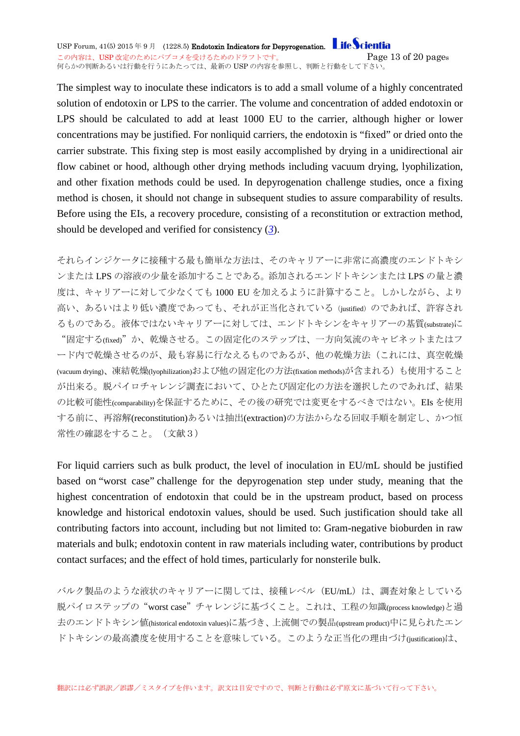USP Forum,  $41(5)$  2015 年 9 月 (1228.5) Endotoxin Indicators for Depyrogenation. Life Scientia この内容は、USP 改定のためにパブコメを受けるためのドラフトです。 <br>
<br />
Page  $13$  of  $20$  pages 何らかの判断あるいは行動を行うにあたっては、最新の USP の内容を参照し、判断と行動をして下さい。

The simplest way to inoculate these indicators is to add a small volume of a highly concentrated solution of endotoxin or LPS to the carrier. The volume and concentration of added endotoxin or LPS should be calculated to add at least 1000 EU to the carrier, although higher or lower concentrations may be justified. For nonliquid carriers, the endotoxin is "fixed" or dried onto the carrier substrate. This fixing step is most easily accomplished by drying in a unidirectional air flow cabinet or hood, although other drying methods including vacuum drying, lyophilization, and other fixation methods could be used. In depyrogenation challenge studies, once a fixing method is chosen, it should not change in subsequent studies to assure comparability of results. Before using the EIs, a recovery procedure, consisting of a reconstitution or extraction method, should be developed and verified for consistency (*[3](http://www.usppf.com/pf/pub/data/v415/CHA_IPR_415_c1228_5.html%23CHA_IPR_415_c1228_5s10)*).

それらインジケータに接種する最も簡単な方法は、そのキャリアーに非常に高濃度のエンドトキシ ンまたは LPS の溶液の少量を添加することである。添加されるエンドトキシンまたは LPS の量と濃 度は、キャリアーに対して少なくても 1000 EU を加えるように計算すること。しかしながら、より 高い、あるいはより低い濃度であっても、それが正当化されている(justified)のであれば、許容され るものである。液体ではないキャリアーに対しては、エンドトキシンをキャリアーの基質(substrate)に "固定する(fixed)"か、乾燥させる。この固定化のステップは、一方向気流のキャビネットまたはフ ード内で乾燥させるのが、最も容易に行なえるものであるが、他の乾燥方法(これには、真空乾燥 (vacuum drying)、凍結乾燥(lyophilization)および他の固定化の方法(fixation methods)が含まれる)も使用すること が出来る。脱パイロチャレンジ調査において、ひとたび固定化の方法を選択したのであれば、結果 の比較可能性(comparability)を保証するために、その後の研究では変更をするべきではない。EIs を使用 する前に、再溶解(reconstitution)あるいは抽出(extraction)の方法からなる回収手順を制定し、かつ恒 常性の確認をすること。(文献3)

For liquid carriers such as bulk product, the level of inoculation in EU/mL should be justified based on "worst case" challenge for the depyrogenation step under study, meaning that the highest concentration of endotoxin that could be in the upstream product, based on process knowledge and historical endotoxin values, should be used. Such justification should take all contributing factors into account, including but not limited to: Gram-negative bioburden in raw materials and bulk; endotoxin content in raw materials including water, contributions by product contact surfaces; and the effect of hold times, particularly for nonsterile bulk.

バルク製品のような液状のキャリアーに関しては、接種レベル(EU/mL)は、調査対象としている 脱パイロステップの"worst case"チャレンジに基づくこと。これは、工程の知識(process knowledge)と過 去のエンドトキシン値(historical endotoxin values)に基づき、上流側での製品(upstream product)中に見られたエン ドトキシンの最高濃度を使用することを意味している。このような正当化の理由づけ(justification)は、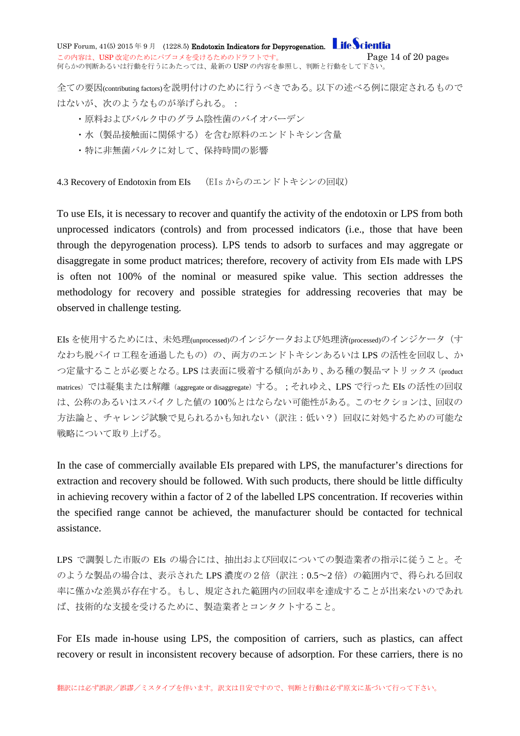USP Forum,  $41(5)$  2015 年 9 月 (1228.5) Endotoxin Indicators for Depyrogenation. Life Scientia この内容は、USP 改定のためにパブコメを受けるためのドラフトです。 <br>
<br />
Page  $14$  of  $20$  pages 何らかの判断あるいは行動を行うにあたっては、最新の USP の内容を参照し、判断と行動をして下さい。

全ての要因(contributing factors)を説明付けのために行うべきである。以下の述べる例に限定されるもので はないが、次のようなものが挙げられる。:

- ・原料およびバルク中のグラム陰性菌のバイオバーデン
- ・水(製品接触面に関係する)を含む原料のエンドトキシン含量
- ・特に非無菌バルクに対して、保持時間の影響

<span id="page-13-0"></span>4.3 Recovery of Endotoxin from EIs (EIs からのエンドトキシンの回収)

To use EIs, it is necessary to recover and quantify the activity of the endotoxin or LPS from both unprocessed indicators (controls) and from processed indicators (i.e., those that have been through the depyrogenation process). LPS tends to adsorb to surfaces and may aggregate or disaggregate in some product matrices; therefore, recovery of activity from EIs made with LPS is often not 100% of the nominal or measured spike value. This section addresses the methodology for recovery and possible strategies for addressing recoveries that may be observed in challenge testing.

EIs を使用するためには、未処理(unprocessed)のインジケータおよび処理済(processed)のインジケータ(す なわち脱パイロ工程を通過したもの)の、両方のエンドトキシンあるいは LPS の活性を回収し、か つ定量することが必要となる。LPS は表面に吸着する傾向があり、ある種の製品マトリックス(product matrices)では凝集または解離 (aggregate or disaggregate)する。;それゆえ、LPS で行った EIs の活性の回収 は、公称のあるいはスパイクした値の 100%とはならない可能性がある。このセクションは、回収の 方法論と、チャレンジ試験で見られるかも知れない(訳注:低い?)回収に対処するための可能な 戦略について取り上げる。

In the case of commercially available EIs prepared with LPS, the manufacturer's directions for extraction and recovery should be followed. With such products, there should be little difficulty in achieving recovery within a factor of 2 of the labelled LPS concentration. If recoveries within the specified range cannot be achieved, the manufacturer should be contacted for technical assistance.

LPS で調製した市販の EIs の場合には、抽出および回収についての製造業者の指示に従うこと。そ のような製品の場合は、表示された LPS 濃度の2倍(訳注: 0.5~2倍)の範囲内で、得られる回収 率に僅かな差異が存在する。もし、規定された範囲内の回収率を達成することが出来ないのであれ ば、技術的な支援を受けるために、製造業者とコンタクトすること。

For EIs made in-house using LPS, the composition of carriers, such as plastics, can affect recovery or result in inconsistent recovery because of adsorption. For these carriers, there is no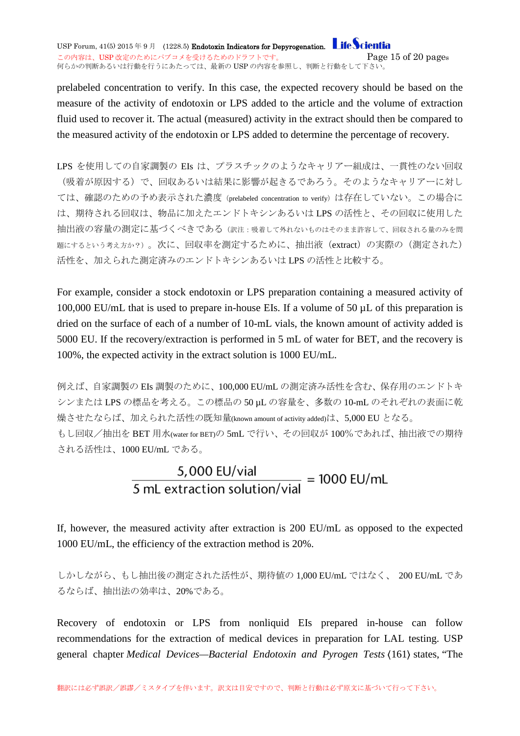USP Forum,  $41(5)$  2015 年 9 月 (1228.5) Endotoxin Indicators for Depyrogenation. Life Scientia この内容は、USP 改定のためにパブコメを受けるためのドラフトです。 <br>
<br />
Page 15 of 20 pages 何らかの判断あるいは行動を行うにあたっては、最新の USP の内容を参照し、判断と行動をして下さい。

prelabeled concentration to verify. In this case, the expected recovery should be based on the measure of the activity of endotoxin or LPS added to the article and the volume of extraction fluid used to recover it. The actual (measured) activity in the extract should then be compared to the measured activity of the endotoxin or LPS added to determine the percentage of recovery.

LPS を使用しての自家調製の EIs は、プラスチックのようなキャリアー組成は、一貫性のない回収 (吸着が原因する)で、回収あるいは結果に影響が起きるであろう。そのようなキャリアーに対し ては、確認のための予め表示された濃度(prelabeled concentration to verify)は存在していない。この場合に は、期待される回収は、物品に加えたエンドトキシンあるいは LPS の活性と、その回収に使用した 抽出液の容量の測定に基づくべきである(訳注:吸着して外れないものはそのまま許容して、回収される量のみを問 題にするという考え方か?)。次に、回収率を測定するために、抽出液(extract)の実際の(測定された) 活性を、加えられた測定済みのエンドトキシンあるいは LPS の活性と比較する。

For example, consider a stock endotoxin or LPS preparation containing a measured activity of 100,000 EU/mL that is used to prepare in-house EIs. If a volume of 50  $\mu$ L of this preparation is dried on the surface of each of a number of 10-mL vials, the known amount of activity added is 5000 EU. If the recovery/extraction is performed in 5 mL of water for BET, and the recovery is 100%, the expected activity in the extract solution is 1000 EU/mL.

例えば、自家調製の EIs 調製のために、100,000 EU/mL の測定済み活性を含む、保存用のエンドトキ シンまたは LPS の標品を考える。この標品の 50 µL の容量を、多数の 10-mL のそれぞれの表面に乾 燥させたならば、加えられた活性の既知量(known amount of activity added)は、5,000 EU となる。 もし回収/抽出を BET 用水(water for BET)の 5mL で行い、その回収が 100%であれば、抽出液での期待 される活性は、1000 EU/mL である。

# $\frac{5,000 \text{ EU/vial}}{5 \text{ mL extraction solution/vial}} = 1000 \text{ EU/mL}$

If, however, the measured activity after extraction is 200 EU/mL as opposed to the expected 1000 EU/mL, the efficiency of the extraction method is 20%.

しかしながら、もし抽出後の測定された活性が、期待値の 1,000 EU/mL ではなく、 200 EU/mL であ るならば、抽出法の効率は、20%である。

Recovery of endotoxin or LPS from nonliquid EIs prepared in-house can follow recommendations for the extraction of medical devices in preparation for LAL testing. USP general chapter *Medical Devices—Bacterial Endotoxin and Pyrogen Tests* 〈161〉 states, "The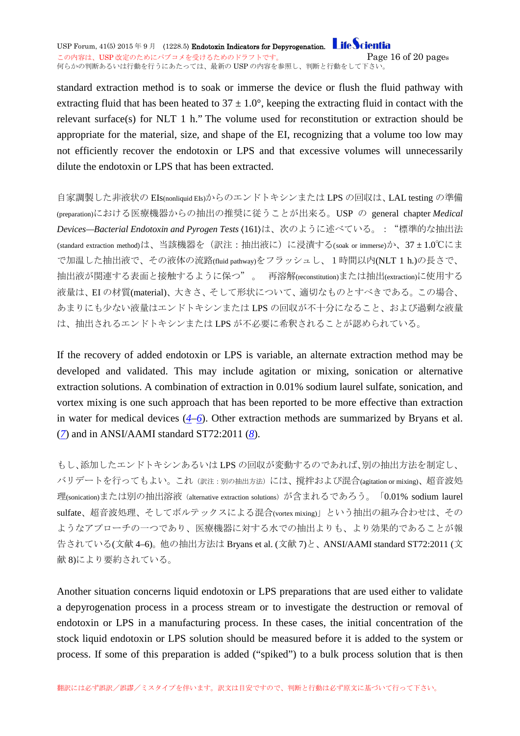USP Forum,  $41(5)$  2015 年 9 月 (1228.5) Endotoxin Indicators for Depyrogenation. Life Scientia この内容は、USP 改定のためにパブコメを受けるためのドラフトです。 <br>
<br />
Page  $16$  of  $20$  pages 何らかの判断あるいは行動を行うにあたっては、最新の USP の内容を参照し、判断と行動をして下さい。

standard extraction method is to soak or immerse the device or flush the fluid pathway with extracting fluid that has been heated to  $37 \pm 1.0^{\circ}$ , keeping the extracting fluid in contact with the relevant surface(s) for NLT 1 h." The volume used for reconstitution or extraction should be appropriate for the material, size, and shape of the EI, recognizing that a volume too low may not efficiently recover the endotoxin or LPS and that excessive volumes will unnecessarily dilute the endotoxin or LPS that has been extracted.

自家調製した非液状の EIs(nonliquid EIs)からのエンドトキシンまたは LPS の回収は、LAL testing の準備 (preparation)における医療機器からの抽出の推奨に従うことが出来る。USP の general chapter *Medical Devices—Bacterial Endotoxin and Pyrogen Tests* 〈161〉は、次のように述べている。:"標準的な抽出法 (standard extraction method)は、当該機器を(訳注:抽出液に)に浸漬する(soak or immerse)か、37 ± 1.0℃にま で加温した抽出液で、その液体の流路(fluid pathway)をフラッシュし、1時間以内(NLT 1 h.)の長さで、 抽出液が関連する表面と接触するように保つ" 。 再溶解(reconstitution)または抽出(extraction)に使用する 液量は、EI の材質(material)、大きさ、そして形状について、適切なものとすべきである。この場合、 あまりにも少ない液量はエンドトキシンまたは LPS の回収が不十分になること、および過剰な液量 は、抽出されるエンドトキシンまたは LPS が不必要に希釈されることが認められている。

If the recovery of added endotoxin or LPS is variable, an alternate extraction method may be developed and validated. This may include agitation or mixing, sonication or alternative extraction solutions. A combination of extraction in 0.01% sodium laurel sulfate, sonication, and vortex mixing is one such approach that has been reported to be more effective than extraction in water for medical devices (*[4](http://www.usppf.com/pf/pub/data/v415/CHA_IPR_415_c1228_5.html%23CHA_IPR_415_c1228_5s10)*–*[6](http://www.usppf.com/pf/pub/data/v415/CHA_IPR_415_c1228_5.html%23CHA_IPR_415_c1228_5s10)*). Other extraction methods are summarized by Bryans et al. (*[7](http://www.usppf.com/pf/pub/data/v415/CHA_IPR_415_c1228_5.html%23CHA_IPR_415_c1228_5s8)*) and in ANSI/AAMI standard ST72:2011 (*[8](http://www.usppf.com/pf/pub/data/v415/CHA_IPR_415_c1228_5.html%23CHA_IPR_415_c1228_5s10)*).

もし、添加したエンドトキシンあるいは LPS の回収が変動するのであれば、別の抽出方法を制定し、 バリデートを行ってもよい。これ(訳注:別の抽出方法)には、撹拌および混合(agitation or mixing)、超音波処 理(sonication)または別の抽出溶液 (alternative extraction solutions) が含まれるであろう。「0.01% sodium laurel sulfate、超音波処理、そしてボルテックスによる混合(vortex mixing)」という抽出の組み合わせは、その ようなアプローチの一つであり、医療機器に対する水での抽出よりも、より効果的であることが報 告されている(文献 4–6)。他の抽出方法は Bryans et al. (文献 7)と、ANSI/AAMI standard ST72:2011 (文 献 8)により要約されている。

Another situation concerns liquid endotoxin or LPS preparations that are used either to validate a depyrogenation process in a process stream or to investigate the destruction or removal of endotoxin or LPS in a manufacturing process. In these cases, the initial concentration of the stock liquid endotoxin or LPS solution should be measured before it is added to the system or process. If some of this preparation is added ("spiked") to a bulk process solution that is then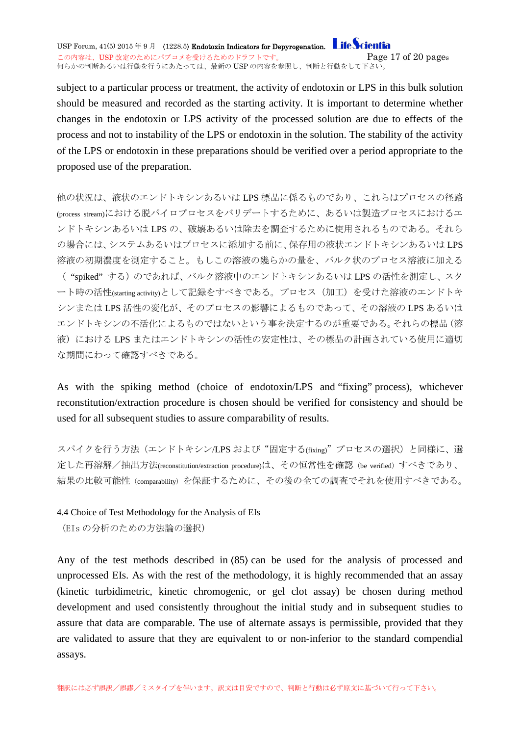USP Forum,  $41(5)$  2015 年 9 月 (1228.5) Endotoxin Indicators for Depyrogenation. Life Scientia この内容は、USP 改定のためにパブコメを受けるためのドラフトです。 <br>
<br />
Page 17 of 20 pages 何らかの判断あるいは行動を行うにあたっては、最新の USP の内容を参照し、判断と行動をして下さい。

subject to a particular process or treatment, the activity of endotoxin or LPS in this bulk solution should be measured and recorded as the starting activity. It is important to determine whether changes in the endotoxin or LPS activity of the processed solution are due to effects of the process and not to instability of the LPS or endotoxin in the solution. The stability of the activity of the LPS or endotoxin in these preparations should be verified over a period appropriate to the proposed use of the preparation.

他の状況は、液状のエンドトキシンあるいは LPS 標品に係るものであり、これらはプロセスの径路 (process stream)における脱パイロプロセスをバリデートするために、あるいは製造プロセスにおけるエ ンドトキシンあるいは LPS の、破壊あるいは除去を調査するために使用されるものである。それら の場合には、システムあるいはプロセスに添加する前に、保存用の液状エンドトキシンあるいは LPS 溶液の初期濃度を測定すること。もしこの溶液の幾らかの量を、バルク状のプロセス溶液に加える ( "spiked" する)のであれば、バルク溶液中のエンドトキシンあるいは LPS の活性を測定し、スタ ート時の活性(starting activity)として記録をすべきである。プロセス(加工)を受けた溶液のエンドトキ シンまたは LPS 活性の変化が、そのプロセスの影響によるものであって、その溶液の LPS あるいは エンドトキシンの不活化によるものではないという事を決定するのが重要である。それらの標品(溶 液)における LPS またはエンドトキシンの活性の安定性は、その標品の計画されている使用に適切 な期間にわって確認すべきである。

As with the spiking method (choice of endotoxin/LPS and "fixing" process), whichever reconstitution/extraction procedure is chosen should be verified for consistency and should be used for all subsequent studies to assure comparability of results.

スパイクを行う方法(エンドトキシン/LPS および"固定する(fixing)"プロセスの選択)と同様に、選 定した再溶解/抽出方法(reconstitution/extraction procedure)は、その恒常性を確認(be verified)すべきであり、 結果の比較可能性(comparability)を保証するために、その後の全ての調査でそれを使用すべきである。

<span id="page-16-0"></span>4.4 Choice of Test Methodology for the Analysis of EIs

(EIs の分析のための方法論の選択)

Any of the test methods described in  $(85)$  can be used for the analysis of processed and unprocessed EIs. As with the rest of the methodology, it is highly recommended that an assay (kinetic turbidimetric, kinetic chromogenic, or gel clot assay) be chosen during method development and used consistently throughout the initial study and in subsequent studies to assure that data are comparable. The use of alternate assays is permissible, provided that they are validated to assure that they are equivalent to or non-inferior to the standard compendial assays.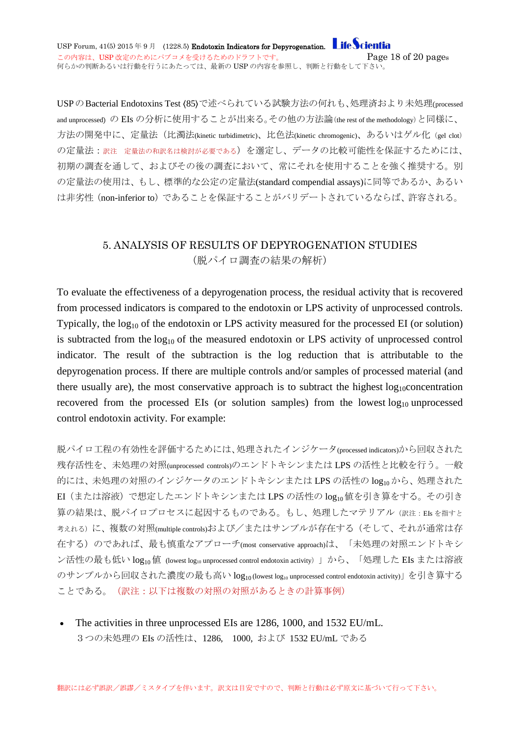USPのBacterial Endotoxins Test (85)で述べられている試験方法の何れも、処理済おより未処理(processed and unprocessed) の EIs の分析に使用することが出来る。その他の方法論(the rest of the methodology)と同様に、 方法の開発中に、定量法(比濁法(kinetic turbidimetric)、比色法(kinetic chromogenic)、あるいはゲル化(gel clot) の定量法:訳注定量法の和訳名は検討が必要である)を選定し、データの比較可能性を保証するためには、 初期の調査を通して、およびその後の調査において、常にそれを使用することを強く推奨する。別 の定量法の使用は、もし、標準的な公定の定量法(standard compendial assays)に同等であるか、あるい は非劣性(non-inferior to)であることを保証することがバリデートされているならば、許容される。

#### <span id="page-17-0"></span>5. ANALYSIS OF RESULTS OF DEPYROGENATION STUDIES (脱パイロ調査の結果の解析)

To evaluate the effectiveness of a depyrogenation process, the residual activity that is recovered from processed indicators is compared to the endotoxin or LPS activity of unprocessed controls. Typically, the  $log_{10}$  of the endotoxin or LPS activity measured for the processed EI (or solution) is subtracted from the  $log_{10}$  of the measured endotoxin or LPS activity of unprocessed control indicator. The result of the subtraction is the log reduction that is attributable to the depyrogenation process. If there are multiple controls and/or samples of processed material (and there usually are), the most conservative approach is to subtract the highest  $log_{10}$ concentration recovered from the processed EIs (or solution samples) from the lowest  $log_{10}$  unprocessed control endotoxin activity. For example:

脱パイロ工程の有効性を評価するためには、処理されたインジケータ(processed indicators)から回収された 残存活性を、未処理の対照(unprocessed controls)のエンドトキシンまたは LPS の活性と比較を行う。一般 的には、未処理の対照のインジケータのエンドトキシンまたは LPS の活性の log10 から、処理された EI (または溶液)で想定したエンドトキシンまたは LPS の活性の log10 値を引き算をする。その引き 算の結果は、脱パイロプロセスに起因するものである。もし、処理したマテリアル(訳注:EIs を指すと 考えれる)に、複数の対照(multiple controls)および/またはサンプルが存在する(そして、それが通常は存 在する)のであれば、最も慎重なアプローチ(most conservative approach)は、「未処理の対照エンドトキシ ン活性の最も低い log<sub>10</sub>値 (lowest log<sub>10</sub> unprocessed control endotoxin activity) 」から、「処理した EIs または溶液 のサンプルから回収された濃度の最も高い log10 (lowest log10 unprocessed control endotoxin activity)」を引き算する ことである。(訳注:以下は複数の対照の対照があるときの計算事例)

The activities in three unprocessed EIs are 1286, 1000, and 1532 EU/mL. 3つの未処理の EIs の活性は、1286, 1000, および 1532 EU/mL である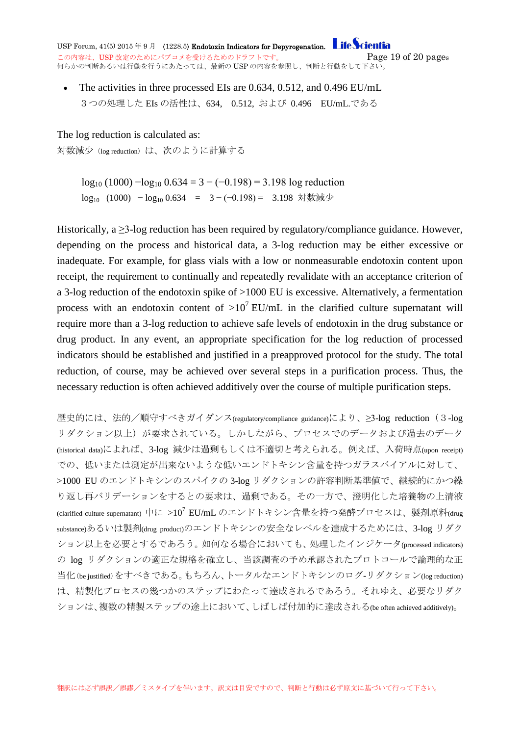USP Forum,  $41(5)$  2015 年 9 月 (1228.5) Endotoxin Indicators for Depyrogenation. **Life Scientia** この内容は、USP 改定のためにパブコメを受けるためのドラフトです。 <br>
<br />
Page  $19$  of  $20$  pages 何らかの判断あるいは行動を行うにあたっては、最新の USP の内容を参照し、判断と行動をして下さい。

• The activities in three processed EIs are 0.634, 0.512, and 0.496 EU/mL 3つの処理した EIs の活性は、634, 0.512, および 0.496 EU/mL.である

The log reduction is calculated as:

対数減少(log reduction)は、次のように計算する

log<sub>10</sub> (1000)  $-$ log<sub>10</sub> 0.634 = 3 − (−0.198) = 3.198 log reduction log<sub>10</sub> (1000) − log<sub>10</sub> 0.634 = 3 − (−0.198) = 3.198 対数減少

Historically, a > 3-log reduction has been required by regulatory/compliance guidance. However, depending on the process and historical data, a 3-log reduction may be either excessive or inadequate. For example, for glass vials with a low or nonmeasurable endotoxin content upon receipt, the requirement to continually and repeatedly revalidate with an acceptance criterion of a 3-log reduction of the endotoxin spike of >1000 EU is excessive. Alternatively, a fermentation process with an endotoxin content of  $>10^7$  EU/mL in the clarified culture supernatant will require more than a 3-log reduction to achieve safe levels of endotoxin in the drug substance or drug product. In any event, an appropriate specification for the log reduction of processed indicators should be established and justified in a preapproved protocol for the study. The total reduction, of course, may be achieved over several steps in a purification process. Thus, the necessary reduction is often achieved additively over the course of multiple purification steps.

歴史的には、法的/順守すべきガイダンス(regulatory/compliance guidance)により、≥3-log reduction (3-log リダクション以上)が要求されている。しかしながら、プロセスでのデータおよび過去のデータ (historical data)によれば、3-log 減少は過剰もしくは不適切と考えられる。例えば、入荷時点(upon receipt) での、低いまたは測定が出来ないような低いエンドトキシン含量を持つガラスバイアルに対して、 >1000 EU のエンドトキシンのスパイクの 3-log リダクションの許容判断基準値で、継続的にかつ繰 り返し再バリデーションをするとの要求は、過剰である。その一方で、澄明化した培養物の上清液 (clarified culture supernatant) 中に >10<sup>7</sup> EU/mL のエンドトキシン含量を持つ発酵プロセスは、製剤原料(drug substance)あるいは製剤(drug product)のエンドトキシンの安全なレベルを達成するためには、3-log リダク ション以上を必要とするであろう。如何なる場合においても、処理したインジケータ(processed indicators) の log リダクションの適正な規格を確立し、当該調査の予め承認されたプロトコールで論理的な正 当化(be justified)をすべきである。もちろん、トータルなエンドトキシンのログ-リダクション(log reduction) は、精製化プロセスの幾つかのステップにわたって達成されるであろう。それゆえ、必要なリダク ションは、複数の精製ステップの途上において、しばしば付加的に達成される(be often achieved additively)。